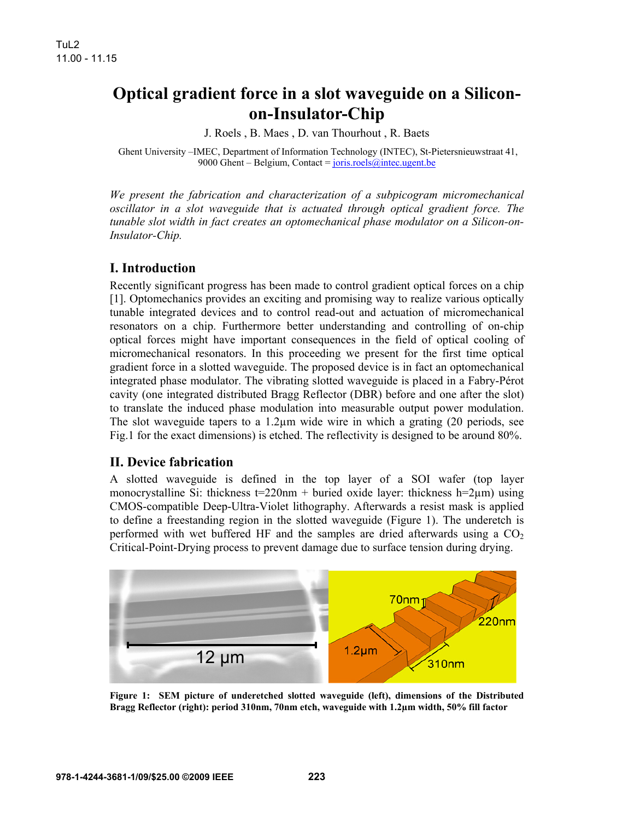# **Optical gradient force in a slot waveguide on a Siliconon-Insulator-Chip**

J. Roels , B. Maes , D. van Thourhout , R. Baets

 Ghent University –IMEC, Department of Information Technology (INTEC), St-Pietersnieuwstraat 41, 9000 Ghent – Belgium, Contact =  $joris.roels@inter.ugent.be$ </u>

*We present the fabrication and characterization of a subpicogram micromechanical oscillator in a slot waveguide that is actuated through optical gradient force. The tunable slot width in fact creates an optomechanical phase modulator on a Silicon-on-Insulator-Chip.* 

# **I. Introduction**

Recently significant progress has been made to control gradient optical forces on a chip [1]. Optomechanics provides an exciting and promising way to realize various optically tunable integrated devices and to control read-out and actuation of micromechanical resonators on a chip. Furthermore better understanding and controlling of on-chip optical forces might have important consequences in the field of optical cooling of micromechanical resonators. In this proceeding we present for the first time optical gradient force in a slotted waveguide. The proposed device is in fact an optomechanical integrated phase modulator. The vibrating slotted waveguide is placed in a Fabry-Pérot cavity (one integrated distributed Bragg Reflector (DBR) before and one after the slot) to translate the induced phase modulation into measurable output power modulation. The slot waveguide tapers to a 1.2µm wide wire in which a grating (20 periods, see Fig.1 for the exact dimensions) is etched. The reflectivity is designed to be around 80%.

#### **II. Device fabrication**

A slotted waveguide is defined in the top layer of a SOI wafer (top layer monocrystalline Si: thickness t=220nm + buried oxide layer: thickness h=2 $\mu$ m) using CMOS-compatible Deep-Ultra-Violet lithography. Afterwards a resist mask is applied to define a freestanding region in the slotted waveguide (Figure 1). The underetch is performed with wet buffered HF and the samples are dried afterwards using a  $CO<sub>2</sub>$ Critical-Point-Drying process to prevent damage due to surface tension during drying.



**Figure 1: SEM picture of underetched slotted waveguide (left), dimensions of the Distributed Bragg Reflector (right): period 310nm, 70nm etch, waveguide with 1.2µm width, 50% fill factor**